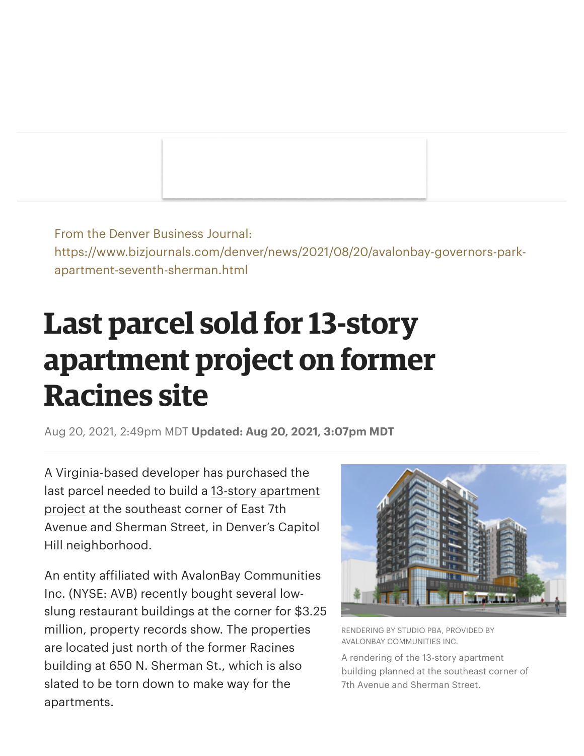From the Denver Business Journal: https://www.bizjournals.com/denver/news/2021/08/20/avalonbay-governors-parkapartment-seventh-sherman.html

## **Last parcel sold for 13-story apartment project on former Racines site**

Aug 20, 2021, 2:49pm MDT **Updated: Aug 20, 2021, 3:07pm MDT**

A Virginia-based developer has purchased the last parcel needed to build a 13-story apartment project at the southeast corner of East 7th Avenue and Sherman Street, in Denver's Capitol Hill neighborhood.

An entity affiliated with AvalonBay Communities Inc. (NYSE: AVB) recently bought several lowslung restaurant buildings at the corner for \$3.25 million, property records show. The properties are located just north of the former Racines building at 650 N. Sherman St., which is also slated to be torn down to make way for the apartments.



RENDERING BY STUDIO PBA, PROVIDED BY AVALONBAY COMMUNITIES INC.

A rendering of the 13-story apartment building planned at the southeast corner of 7th Avenue and Sherman Street.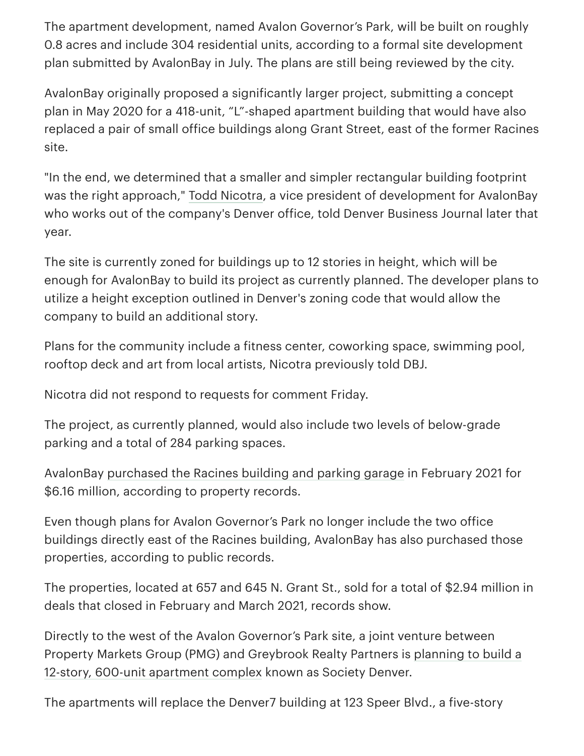The apartment development, named Avalon Governor's Park, will be built on roughly 0.8 acres and include 304 residential units, according to a formal site development plan submitted by AvalonBay in July. The plans are still being reviewed by the city.

AvalonBay originally proposed a significantly larger project, submitting a concept plan in May 2020 for a 418-unit, "L"-shaped apartment building that would have also replaced a pair of small office buildings along Grant Street, east of the former Racines site.

"In the end, we determined that a smaller and simpler rectangular building footprint was the right approach," Todd Nicotra, a vice president of development for AvalonBay who works out of the company's Denver office, told Denver Business Journal later that year.

The site is currently zoned for buildings up to 12 stories in height, which will be enough for AvalonBay to build its project as currently planned. The developer plans to utilize a height exception outlined in Denver's zoning code that would allow the company to build an additional story.

Plans for the community include a fitness center, coworking space, swimming pool, rooftop deck and art from local artists, Nicotra previously told DBJ.

Nicotra did not respond to requests for comment Friday.

The project, as currently planned, would also include two levels of below-grade parking and a total of 284 parking spaces.

AvalonBay purchased the Racines building and parking garage in February 2021 for \$6.16 million, according to property records.

Even though plans for Avalon Governor's Park no longer include the two office buildings directly east of the Racines building, AvalonBay has also purchased those properties, according to public records.

The properties, located at 657 and 645 N. Grant St., sold for a total of \$2.94 million in deals that closed in February and March 2021, records show.

Directly to the west of the Avalon Governor's Park site, a joint venture between Property Markets Group (PMG) and Greybrook Realty Partners is planning to build a 12-story, 600-unit apartment complex known as Society Denver.

The apartments will replace the Denver7 building at 123 Speer Blvd., a five-story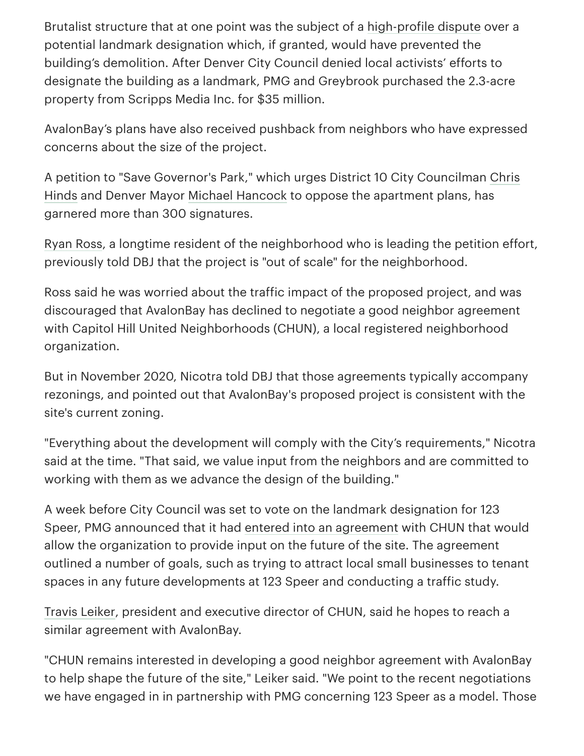Brutalist structure that at one point was the subject of a high-profile dispute over a potential landmark designation which, if granted, would have prevented the building's demolition. After Denver City Council denied local activists' efforts to designate the building as a landmark, PMG and Greybrook purchased the 2.3-acre property from Scripps Media Inc. for \$35 million.

AvalonBay's plans have also received pushback from neighbors who have expressed concerns about the size of the project.

A petition to "Save Governor's Park," which urges District 10 City Councilman Chris Hinds and Denver Mayor Michael Hancock to oppose the apartment plans, has garnered more than 300 signatures.

Ryan Ross, a longtime resident of the neighborhood who is leading the petition effort, previously told DBJ that the project is "out of scale" for the neighborhood.

Ross said he was worried about the traffic impact of the proposed project, and was discouraged that AvalonBay has declined to negotiate a good neighbor agreement with Capitol Hill United Neighborhoods (CHUN), a local registered neighborhood organization.

But in November 2020, Nicotra told DBJ that those agreements typically accompany rezonings, and pointed out that AvalonBay's proposed project is consistent with the site's current zoning.

"Everything about the development will comply with the City's requirements," Nicotra said at the time. "That said, we value input from the neighbors and are committed to working with them as we advance the design of the building."

A week before City Council was set to vote on the landmark designation for 123 Speer, PMG announced that it had entered into an agreement with CHUN that would allow the organization to provide input on the future of the site. The agreement outlined a number of goals, such as trying to attract local small businesses to tenant spaces in any future developments at 123 Speer and conducting a traffic study.

Travis Leiker, president and executive director of CHUN, said he hopes to reach a similar agreement with AvalonBay.

"CHUN remains interested in developing a good neighbor agreement with AvalonBay to help shape the future of the site," Leiker said. "We point to the recent negotiations we have engaged in in partnership with PMG concerning 123 Speer as a model. Those